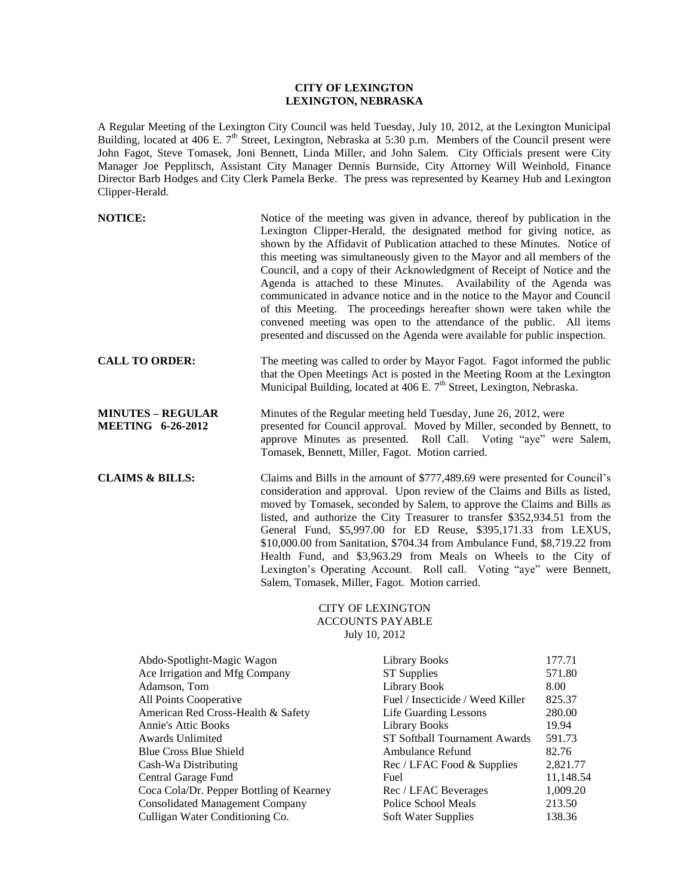## **CITY OF LEXINGTON LEXINGTON, NEBRASKA**

A Regular Meeting of the Lexington City Council was held Tuesday, July 10, 2012, at the Lexington Municipal Building, located at 406 E.  $7<sup>th</sup>$  Street, Lexington, Nebraska at 5:30 p.m. Members of the Council present were John Fagot, Steve Tomasek, Joni Bennett, Linda Miller, and John Salem. City Officials present were City Manager Joe Pepplitsch, Assistant City Manager Dennis Burnside, City Attorney Will Weinhold, Finance Director Barb Hodges and City Clerk Pamela Berke. The press was represented by Kearney Hub and Lexington Clipper-Herald.

| <b>NOTICE:</b>                                       | Notice of the meeting was given in advance, thereof by publication in the<br>Lexington Clipper-Herald, the designated method for giving notice, as<br>shown by the Affidavit of Publication attached to these Minutes. Notice of<br>this meeting was simultaneously given to the Mayor and all members of the<br>Council, and a copy of their Acknowledgment of Receipt of Notice and the<br>Agenda is attached to these Minutes. Availability of the Agenda was<br>communicated in advance notice and in the notice to the Mayor and Council<br>of this Meeting. The proceedings hereafter shown were taken while the<br>convened meeting was open to the attendance of the public. All items<br>presented and discussed on the Agenda were available for public inspection. |
|------------------------------------------------------|-------------------------------------------------------------------------------------------------------------------------------------------------------------------------------------------------------------------------------------------------------------------------------------------------------------------------------------------------------------------------------------------------------------------------------------------------------------------------------------------------------------------------------------------------------------------------------------------------------------------------------------------------------------------------------------------------------------------------------------------------------------------------------|
| <b>CALL TO ORDER:</b>                                | The meeting was called to order by Mayor Fagot. Fagot informed the public<br>that the Open Meetings Act is posted in the Meeting Room at the Lexington<br>Municipal Building, located at 406 E. 7 <sup>th</sup> Street, Lexington, Nebraska.                                                                                                                                                                                                                                                                                                                                                                                                                                                                                                                                  |
| <b>MINUTES - REGULAR</b><br><b>MEETING 6-26-2012</b> | Minutes of the Regular meeting held Tuesday, June 26, 2012, were<br>presented for Council approval. Moved by Miller, seconded by Bennett, to<br>approve Minutes as presented. Roll Call. Voting "aye" were Salem,<br>Tomasek, Bennett, Miller, Fagot. Motion carried.                                                                                                                                                                                                                                                                                                                                                                                                                                                                                                         |
| <b>CLAIMS &amp; BILLS:</b>                           | Claims and Bills in the amount of \$777,489.69 were presented for Council's<br>consideration and approval. Upon review of the Claims and Bills as listed,<br>moved by Tomasek, seconded by Salem, to approve the Claims and Bills as<br>listed, and authorize the City Treasurer to transfer \$352,934.51 from the<br>General Fund, \$5,997.00 for ED Reuse, \$395,171.33 from LEXUS,<br>\$10,000.00 from Sanitation, \$704.34 from Ambulance Fund, \$8,719.22 from<br>Health Fund, and \$3,963.29 from Meals on Wheels to the City of<br>Lexington's Operating Account. Roll call. Voting "aye" were Bennett,<br>Salem, Tomasek, Miller, Fagot. Motion carried.                                                                                                              |

## CITY OF LEXINGTON ACCOUNTS PAYABLE July 10, 2012

| Abdo-Spotlight-Magic Wagon               | <b>Library Books</b>             | 177.71    |
|------------------------------------------|----------------------------------|-----------|
| Ace Irrigation and Mfg Company           | <b>ST</b> Supplies               | 571.80    |
| Adamson, Tom                             | Library Book                     | 8.00      |
| All Points Cooperative                   | Fuel / Insecticide / Weed Killer | 825.37    |
| American Red Cross-Health & Safety       | Life Guarding Lessons            | 280.00    |
| <b>Annie's Attic Books</b>               | Library Books                    | 19.94     |
| <b>Awards Unlimited</b>                  | ST Softball Tournament Awards    | 591.73    |
| <b>Blue Cross Blue Shield</b>            | Ambulance Refund                 | 82.76     |
| Cash-Wa Distributing                     | Rec / LFAC Food & Supplies       | 2,821.77  |
| Central Garage Fund                      | Fuel                             | 11,148.54 |
| Coca Cola/Dr. Pepper Bottling of Kearney | Rec / LFAC Beverages             | 1,009.20  |
| <b>Consolidated Management Company</b>   | Police School Meals              | 213.50    |
| Culligan Water Conditioning Co.          | Soft Water Supplies              | 138.36    |
|                                          |                                  |           |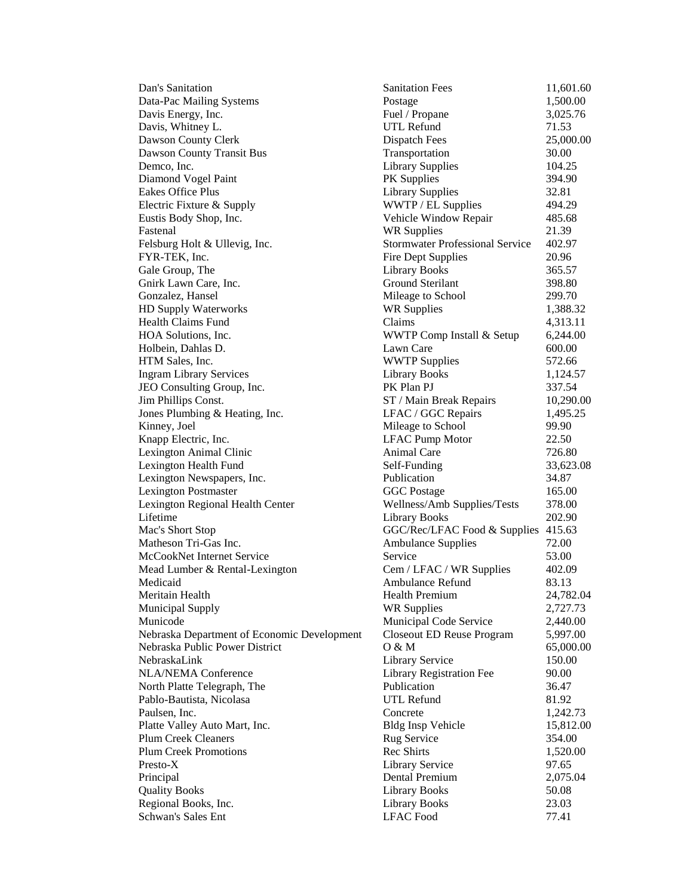Dan's Sanitation Data-Pac Mailing Systems Davis Energy, Inc. Davis, Whitney L. Dawson County Clerk Dawson County Transit Bus Demco, Inc. Diamond Vogel Paint Eakes Office Plus Electric Fixture & Supply Eustis Body Shop, Inc. Fastenal 21.39 Felsburg Holt & Ullevig, Inc. FYR-TEK, Inc. Gale Group, The Gnirk Lawn Care, Inc. Gonzalez, Hansel HD Supply Waterworks Health Claims Fund HOA Solutions, Inc. Holbein, Dahlas D. HTM Sales, Inc. Ingram Library Services JEO Consulting Group, Inc. Jim Phillips Const. Jones Plumbing  $&$  Heating, Inc. Kinney, Joel Knapp Electric, Inc. Lexington Animal Clinic Lexington Health Fund Lexington Newspapers, Inc. Lexington Postmaster Lexington Regional Health Center Lifetime Library Books 202.90 Mac's Short Stop Matheson Tri-Gas Inc. McCookNet Internet Service Mead Lumber & Rental-Lexington Medicaid **Ambulance Refund** 83.13 Meritain Health Municipal Supply Municode Municipal Code Service 2,440.00 Nebraska Department of Economic Development Nebraska Public Power District NebraskaLink NLA/NEMA Conference North Platte Telegraph, The Pablo-Bautista, Nicolasa Paulsen, Inc. Platte Valley Auto Mart, Inc. Plum Creek Cleaners Plum Creek Promotions Presto-X 197.65 Principal 2,075.04 **Dental Premium** 2,075.04 Quality Books Regional Books, Inc. Schwan's Sales Ent

| <b>Sanitation Fees</b>                 | 11,601.60      |
|----------------------------------------|----------------|
| Postage                                | 1,500.00       |
| Fuel / Propane                         | 3,025.76       |
| <b>UTL Refund</b>                      | 71.53          |
| <b>Dispatch Fees</b>                   | 25,000.00      |
| Transportation                         | 30.00          |
| <b>Library Supplies</b>                | 104.25         |
| <b>PK</b> Supplies                     | 394.90         |
| <b>Library Supplies</b>                | 32.81          |
| WWTP / EL Supplies                     | 494.29         |
| Vehicle Window Repair                  | 485.68         |
| <b>WR Supplies</b>                     | 21.39          |
| <b>Stormwater Professional Service</b> | 402.97         |
|                                        | 20.96          |
| <b>Fire Dept Supplies</b>              |                |
| <b>Library Books</b>                   | 365.57         |
| Ground Sterilant                       | 398.80         |
| Mileage to School                      | 299.70         |
| <b>WR Supplies</b>                     | 1,388.32       |
| Claims                                 | 4,313.11       |
| WWTP Comp Install & Setup              | 6,244.00       |
| Lawn Care                              | 600.00         |
| <b>WWTP Supplies</b>                   | 572.66         |
| <b>Library Books</b>                   | 1,124.57       |
| PK Plan PJ                             | 337.54         |
| ST / Main Break Repairs                | 10,290.00      |
| LFAC / GGC Repairs                     | 1,495.25       |
| Mileage to School                      | 99.90          |
| <b>LFAC Pump Motor</b>                 | 22.50          |
| <b>Animal Care</b>                     | 726.80         |
| Self-Funding                           | 33,623.08      |
| Publication                            | 34.87          |
| <b>GGC Postage</b>                     | 165.00         |
|                                        | 378.00         |
| Wellness/Amb Supplies/Tests            | 202.90         |
| <b>Library Books</b>                   |                |
| GGC/Rec/LFAC Food & Supplies           | 415.63         |
| <b>Ambulance Supplies</b>              | 72.00          |
| Service                                | 53.00          |
| Cem / LFAC / WR Supplies               | 402.09         |
| Ambulance Refund                       | 83.13          |
| <b>Health Premium</b>                  | 24,782.04      |
| <b>WR Supplies</b>                     | 2,727.73       |
| Municipal Code Service                 | 2,440.00       |
| <b>Closeout ED Reuse Program</b>       | 5,997.00       |
| 0 & M                                  | 65,000.00      |
| Library Service                        | 150.00         |
| Library Registration Fee               | 90.00          |
| Publication                            | 36.47          |
| <b>UTL Refund</b>                      | 81.92          |
| Concrete                               | 1,242.73       |
| <b>Bldg Insp Vehicle</b>               | 15,812.00      |
| Rug Service                            | 354.00         |
|                                        |                |
| Rec Shirts                             | 1,520.00       |
| <b>Library Service</b>                 | 97.65          |
| Dental Premium                         | 2,075.04       |
| <b>Library Books</b>                   | 50.08          |
|                                        |                |
| Library Books<br><b>LFAC Food</b>      | 23.03<br>77.41 |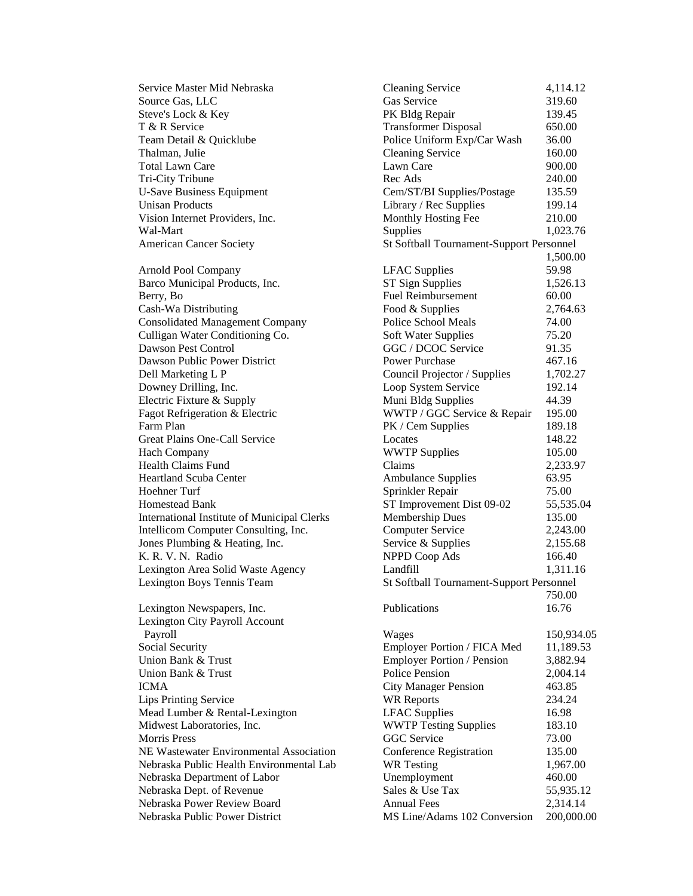| Source Gas, LLC                                              | Gas Service                                 | 319.60          |
|--------------------------------------------------------------|---------------------------------------------|-----------------|
| Steve's Lock & Key                                           | PK Bldg Repair                              | 139.45          |
| T & R Service                                                | <b>Transformer Disposal</b>                 | 650.00          |
| Team Detail & Quicklube                                      | Police Uniform Exp/Car Wash                 | 36.00           |
| Thalman, Julie                                               | <b>Cleaning Service</b>                     | 160.00          |
| <b>Total Lawn Care</b>                                       | Lawn Care                                   | 900.00          |
| Tri-City Tribune                                             | Rec Ads                                     | 240.00          |
| <b>U-Save Business Equipment</b>                             | Cem/ST/BI Supplies/Postage                  | 135.59          |
| <b>Unisan Products</b>                                       | Library / Rec Supplies                      | 199.14          |
| Vision Internet Providers, Inc.                              | Monthly Hosting Fee                         | 210.00          |
| Wal-Mart                                                     | Supplies                                    | 1,023.76        |
| <b>American Cancer Society</b>                               | St Softball Tournament-Support Personnel    |                 |
|                                                              |                                             | 1,500.00        |
| Arnold Pool Company                                          | <b>LFAC</b> Supplies                        | 59.98           |
| Barco Municipal Products, Inc.                               | ST Sign Supplies                            | 1,526.13        |
| Berry, Bo                                                    | <b>Fuel Reimbursement</b>                   | 60.00           |
| Cash-Wa Distributing                                         | Food & Supplies                             | 2,764.63        |
| <b>Consolidated Management Company</b>                       | Police School Meals                         | 74.00           |
| Culligan Water Conditioning Co.                              | <b>Soft Water Supplies</b>                  | 75.20           |
| Dawson Pest Control                                          | GGC / DCOC Service                          | 91.35           |
| Dawson Public Power District                                 | Power Purchase                              | 467.16          |
| Dell Marketing L P                                           | Council Projector / Supplies                | 1,702.27        |
| Downey Drilling, Inc.                                        | Loop System Service                         | 192.14          |
| Electric Fixture & Supply                                    | Muni Bldg Supplies                          | 44.39           |
| Fagot Refrigeration & Electric                               | WWTP / GGC Service & Repair                 | 195.00          |
| Farm Plan                                                    | PK / Cem Supplies                           | 189.18          |
| Great Plains One-Call Service                                | Locates                                     | 148.22          |
| Hach Company                                                 | <b>WWTP Supplies</b>                        | 105.00          |
| <b>Health Claims Fund</b>                                    | Claims                                      | 2,233.97        |
| <b>Heartland Scuba Center</b>                                | <b>Ambulance Supplies</b>                   | 63.95           |
| Hoehner Turf                                                 | Sprinkler Repair                            | 75.00           |
| Homestead Bank                                               | ST Improvement Dist 09-02                   | 55,535.04       |
| International Institute of Municipal Clerks                  | Membership Dues                             | 135.00          |
| Intellicom Computer Consulting, Inc.                         | <b>Computer Service</b>                     | 2,243.00        |
| Jones Plumbing & Heating, Inc.                               | Service & Supplies                          | 2,155.68        |
| K. R. V. N. Radio                                            | <b>NPPD Coop Ads</b>                        | 166.40          |
| Lexington Area Solid Waste Agency                            | Landfill                                    | 1,311.16        |
| Lexington Boys Tennis Team                                   | St Softball Tournament-Support Personnel    |                 |
| Lexington Newspapers, Inc.                                   | Publications                                | 750.00<br>16.76 |
| Lexington City Payroll Account                               |                                             |                 |
| Payroll                                                      | Wages                                       | 150,934.05      |
| Social Security                                              | Employer Portion / FICA Med                 | 11,189.53       |
| Union Bank & Trust                                           | <b>Employer Portion / Pension</b>           | 3,882.94        |
| Union Bank & Trust                                           | <b>Police Pension</b>                       | 2,004.14        |
| <b>ICMA</b>                                                  | <b>City Manager Pension</b>                 | 463.85          |
|                                                              |                                             | 234.24          |
| <b>Lips Printing Service</b>                                 | <b>WR Reports</b>                           |                 |
| Mead Lumber & Rental-Lexington<br>Midwest Laboratories, Inc. | <b>LFAC</b> Supplies                        | 16.98           |
| <b>Morris Press</b>                                          | <b>WWTP Testing Supplies</b><br>GGC Service | 183.10          |
|                                                              |                                             | 73.00           |
| NE Wastewater Environmental Association                      | Conference Registration                     | 135.00          |
| Nebraska Public Health Environmental Lab                     | <b>WR</b> Testing                           | 1,967.00        |
| Nebraska Department of Labor                                 | Unemployment<br>Sales & Use Tax             | 460.00          |
| Nebraska Dept. of Revenue<br>Nebraska Power Review Board     |                                             | 55,935.12       |
| Nebraska Public Power District                               | <b>Annual Fees</b>                          | 2,314.14        |
|                                                              | MS Line/Adams 102 Conversion                | 200,000.00      |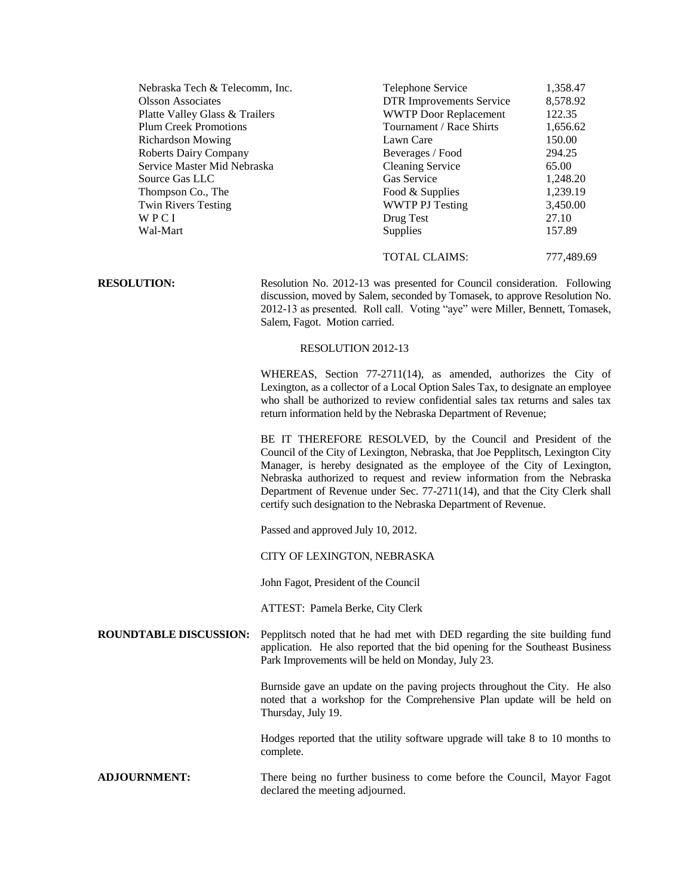| <b>RESOLUTION:</b>             | Resolution No. 2012-13 was presented for Council consideration. Following |            |
|--------------------------------|---------------------------------------------------------------------------|------------|
|                                | <b>TOTAL CLAIMS:</b>                                                      | 777,489.69 |
| Wal-Mart                       | <b>Supplies</b>                                                           | 157.89     |
| WPCI                           | Drug Test                                                                 | 27.10      |
| <b>Twin Rivers Testing</b>     | <b>WWTP PJ Testing</b>                                                    | 3,450.00   |
| Thompson Co., The              | Food & Supplies                                                           | 1,239.19   |
| Source Gas LLC                 | Gas Service                                                               | 1,248.20   |
| Service Master Mid Nebraska    | <b>Cleaning Service</b>                                                   | 65.00      |
| <b>Roberts Dairy Company</b>   | Beverages / Food                                                          | 294.25     |
| <b>Richardson Mowing</b>       | Lawn Care                                                                 | 150.00     |
| <b>Plum Creek Promotions</b>   | Tournament / Race Shirts                                                  | 1,656.62   |
| Platte Valley Glass & Trailers | <b>WWTP</b> Door Replacement                                              | 122.35     |
| <b>Olsson Associates</b>       | <b>DTR</b> Improvements Service                                           | 8,578.92   |
| Nebraska Tech & Telecomm, Inc. | Telephone Service                                                         | 1,358.47   |

discussion, moved by Salem, seconded by Tomasek, to approve Resolution No. 2012-13 as presented. Roll call. Voting "aye" were Miller, Bennett, Tomasek, Salem, Fagot. Motion carried.

## RESOLUTION 2012-13

WHEREAS, Section 77-2711(14), as amended, authorizes the City of Lexington, as a collector of a Local Option Sales Tax, to designate an employee who shall be authorized to review confidential sales tax returns and sales tax return information held by the Nebraska Department of Revenue;

BE IT THEREFORE RESOLVED, by the Council and President of the Council of the City of Lexington, Nebraska, that Joe Pepplitsch, Lexington City Manager, is hereby designated as the employee of the City of Lexington, Nebraska authorized to request and review information from the Nebraska Department of Revenue under Sec. 77-2711(14), and that the City Clerk shall certify such designation to the Nebraska Department of Revenue.

Passed and approved July 10, 2012.

CITY OF LEXINGTON, NEBRASKA

John Fagot, President of the Council

ATTEST: Pamela Berke, City Clerk

**ROUNDTABLE DISCUSSION:** Pepplitsch noted that he had met with DED regarding the site building fund application. He also reported that the bid opening for the Southeast Business Park Improvements will be held on Monday, July 23.

> Burnside gave an update on the paving projects throughout the City. He also noted that a workshop for the Comprehensive Plan update will be held on Thursday, July 19.

> Hodges reported that the utility software upgrade will take 8 to 10 months to complete.

**ADJOURNMENT:** There being no further business to come before the Council, Mayor Fagot declared the meeting adjourned.